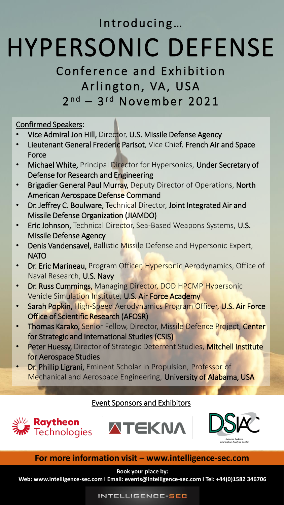Introducing...

# HYPERSONIC DEFENSE

# Conference and Exhibition Arlington, VA, USA 2<sup>nd</sup> – 3<sup>rd</sup> November 2021

Confirmed Speakers:

- Vice Admiral Jon Hill, Director, U.S. Missile Defense Agency
- Lieutenant General Frederic Parisot, Vice Chief, French Air and Space Force
- Michael White, Principal Director for Hypersonics, Under Secretary of Defense for Research and Engineering
- **Brigadier General Paul Murray, Deputy Director of Operations, North** American Aerospace Defense Command
- Dr. Jeffrey C. Boulware, Technical Director, Joint Integrated Air and Missile Defense Organization (JIAMDO)
- Eric Johnson, Technical Director, Sea-Based Weapons Systems, U.S. Missile Defense Agency
- Denis Vandensavel, Ballistic Missile Defense and Hypersonic Expert, NATO
- Dr. Eric Marineau, Program Officer, Hypersonic Aerodynamics, Office of Naval Research, U.S. Navy
- Dr. Russ Cummings, Managing Director, DOD HPCMP Hypersonic Vehicle Simulation Institute, U.S. Air Force Academy
- Sarah Popkin, High-Speed Aerodynamics Program Officer, U.S. Air Force Office of Scientific Research (AFOSR)
- Thomas Karako, Senior Fellow, Director, Missile Defence Project, Center for Strategic and International Studies (CSIS)
- Peter Huessy, Director of Strategic Deterrent Studies, Mitchell Institute for Aerospace Studies
- **Dr. Phillip Ligrani, Eminent Scholar in Propulsion, Professor of** Mechanical and Aerospace Engineering, University of Alabama, USA

### Event Sponsors and Exhibitors







# **For more information visit – www.intelligence-sec.com**

**Book your place by:** 

**Web: www.intelligence-sec.com I Email: events@intelligence-sec.com I Tel: +44(0)1582 346706**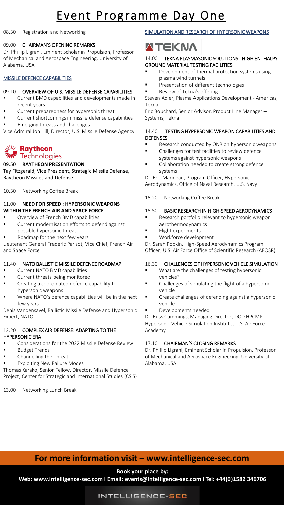# Event Programme Day One

#### 08.30 Registration and Networking

#### 09.00 CHAIRMAN'S OPENING REMARKS

Dr. Phillip Ligrani, Eminent Scholar in Propulsion, Professor of Mechanical and Aerospace Engineering, University of Alabama, USA

### MISSILE DEFENCE CAPABILITIES

### 09.10 OVERVIEW OF U.S. MISSILE DEFENSE CAPABILITIES

- Current BMD capabilities and developments made in recent years
- Current preparedness for hypersonic threat
- Current shortcomings in missile defense capabilities
- Emerging threats and challenges
- Vice Admiral Jon Hill, Director, U.S. Missile Defense Agency

### **Raytheon** ﷺ **M** Technologies

### 09.50 **RAYTHEON PRESENTATION**

Tay Fitzgerald, Vice President, Strategic Missile Defense, Raytheon Missiles and Defense

10.30 Networking Coffee Break

#### 11.00 **NEED FOR SPEED : HYPERSONIC WEAPONS WITHIN THE FRENCH AIR AND SPACE FORCE**

- Overview of French BMD capabilities
- Current modernisation efforts to defend against possible hypersonic threat
- Roadmap for the next few years

Lieutenant General Frederic Parisot, Vice Chief, French Air and Space Force

### 11.40 NATO BALLISTIC MISSILE DEFENCE ROADMAP

- Current NATO BMD capabilities
- Current threats being monitored
- Creating a coordinated defence capability to hypersonic weapons
- Where NATO's defence capabilities will be in the next few years

Denis Vandensavel, Ballistic Missile Defense and Hypersonic Expert, NATO

### 12.20 COMPLEX AIR DEFENSE: ADAPTING TO THE HYPERSONIC ERA

- Considerations for the 2022 Missile Defense Review
- Budget Trends
- Channelling the Threat
- **Exploiting New Failure Modes**

Thomas Karako, Senior Fellow, Director, Missile Defence Project, Center for Strategic and International Studies (CSIS)

13.00 Networking Lunch Break

### SIMULATION AND RESEARCH OF HYPERSONIC WEAPONS

# **ATEKNA**

### 14.00 TEKNA PLASMASONIC SOLUTIONS : HIGH ENTHALPY GROUND MATERIAL TESTING FACILITIES

- Development of thermal protection systems using plasma wind tunnels
- Presentation of different technologies
- Review of Tekna's offering

Steven Adler, Plasma Applications Development - Americas, Tekna

Eric Bouchard, Senior Advisor, Product Line Manager – Systems, Tekna

### 14.40 TESTING HYPERSONIC WEAPON CAPABILITIES AND DEFENSES

- Research conducted by ONR on hypersonic weapons
- Challenges for test facilities to review defence systems against hypersonic weapons
- Collaboration needed to create strong defence systems

Dr. Eric Marineau, Program Officer, Hypersonic Aerodynamics, Office of Naval Research, U.S. Navy

15.20 Networking Coffee Break

### 15.50 BASIC RESEARCH IN HIGH-SPEED AERODYNAMICS

- Research portfolio relevant to hypersonic weapon aerothermodynamics
- Flight experiments
- Workforce development

Dr. Sarah Popkin, High-Speed Aerodynamics Program Officer, U.S. Air Force Office of Scientific Research (AFOSR)

### 16.30 CHALLENGES OF HYPERSONIC VEHICLE SIMULATION

- What are the challenges of testing hypersonic vehicles?
- Challenges of simulating the flight of a hypersonic vehicle
- Create challenges of defending against a hypersonic vehicle
- Developments needed

Dr. Russ Cummings, Managing Director, DOD HPCMP Hypersonic Vehicle Simulation Institute, U.S. Air Force Academy

### 17.10 CHAIRMAN'S CLOSING REMARKS

Dr. Phillip Ligrani, Eminent Scholar in Propulsion, Professor of Mechanical and Aerospace Engineering, University of Alabama, USA

## **For more information visit – www.intelligence-sec.com**

### **Book your place by:**

**Web: www.intelligence-sec.com I Email: events@intelligence-sec.com I Tel: +44(0)1582 346706**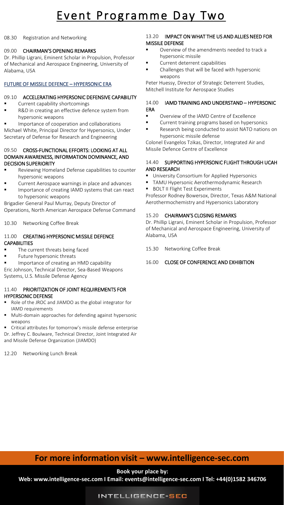# Event Programme Day Two

08.30 Registration and Networking

### 09.00 CHAIRMAN'S OPENING REMARKS

Dr. Phillip Ligrani, Eminent Scholar in Propulsion, Professor of Mechanical and Aerospace Engineering, University of Alabama, USA

### FUTURE OF MISSILE DEFENCE – HYPERSONIC ERA

### 09.10 ACCELERATING HYPERSONIC DEFENSIVE CAPABILITY

- Current capability shortcomings
- R&D in creating an effective defence system from hypersonic weapons
- Importance of cooperation and collaborations

Michael White, Principal Director for Hypersonics, Under Secretary of Defense for Research and Engineering

#### 09.50 CROSS-FUNCTIONAL EFFORTS: LOOKING AT ALL DOMAIN AWARENESS, INFORMATION DOMINANCE, AND DECISION SUPERIORITY

- Reviewing Homeland Defense capabilities to counter hypersonic weapons
- Current Aerospace warnings in place and advances
- Importance of creating IAMD systems that can react to hypersonic weapons

Brigadier General Paul Murray, Deputy Director of Operations, North American Aerospace Defense Command

10.30 Networking Coffee Break

### 11.00 CREATING HYPERSONIC MISSILE DEFENCE **CAPABILITIES**

- The current threats being faced
- Future hypersonic threats
- Importance of creating an HMD capability
- Eric Johnson, Technical Director, Sea-Based Weapons

Systems, U.S. Missile Defense Agency

### 11.40 PRIORITIZATION OF JOINT REQUIREMENTS FOR HYPERSONIC DEFENSE

- Role of the JROC and JIAMDO as the global integrator for IAMD requirements
- Multi-domain approaches for defending against hypersonic weapons

■ Critical attributes for tomorrow's missile defense enterprise

Dr. Jeffrey C. Boulware, Technical Director, Joint Integrated Air and Missile Defense Organization (JIAMDO)

12.20 Networking Lunch Break

### 13.20 IMPACT ON WHAT THE US AND ALLIES NEED FOR MISSILE DEFENSE

- Overview of the amendments needed to track a hypersonic missile
- Current deterrent capabilities
- Challenges that will be faced with hypersonic weapons

Peter Huessy, Director of Strategic Deterrent Studies, Mitchell Institute for Aerospace Studies

### 14.00 IAMD TRAINING AND UNDERSTAND – HYPERSONIC ERA

- Overview of the IAMD Centre of Excellence
- Current training programs based on hypersonics ■ Research being conducted to assist NATO nations on hypersonic missile defense

Colonel Evangelos Tzikas, Director, Integrated Air and Missile Defence Centre of Excellence

### 14.40 SUPPORTING HYPERSONIC FLIGHT THROUGH UCAH AND RESEARCH

- **■** University Consortium for Applied Hypersonics
- **■** TAMU Hypersonic Aerothermodynamic Research ■ BOLT II Flight Test Experiments

Professor Rodney Bowersox, Director, Texas A&M National Aerothermochemistry and Hypersonics Laboratory

### 15.20 CHAIRMAN'S CLOSING REMARKS

Dr. Phillip Ligrani, Eminent Scholar in Propulsion, Professor of Mechanical and Aerospace Engineering, University of Alabama, USA

15.30 Networking Coffee Break

### 16.00 CLOSE OF CONFERENCE AND EXHIBITION

## **For more information visit – www.intelligence-sec.com**

**Book your place by:** 

**Web: www.intelligence-sec.com I Email: events@intelligence-sec.com I Tel: +44(0)1582 346706**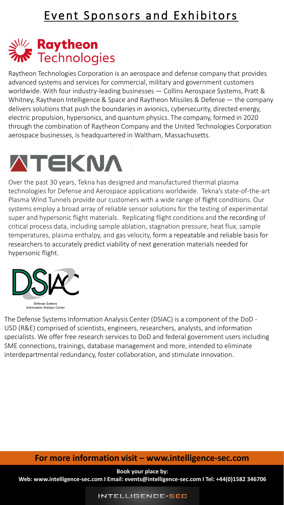# **Raytheon**<br>Mr Technologies

Raytheon Technologies Corporation is an aerospace and defense company that provides advanced systems and services for commercial, military and government customers worldwide. With four industry-leading businesses ― Collins Aerospace Systems, Pratt & Whitney, Raytheon Intelligence & Space and Raytheon Missiles & Defense ― the company delivers solutions that push the boundaries in avionics, cybersecurity, directed energy, electric propulsion, hypersonics, and quantum physics. The company, formed in 2020 through the combination of Raytheon Company and the United Technologies Corporation aerospace businesses, is headquartered in Waltham, Massachusetts.



Over the past 30 years, Tekna has designed and manufactured thermal plasma technologies for Defense and Aerospace applications worldwide. Tekna's state-of-the-art Plasma Wind Tunnels provide our customers with a wide range of flight conditions. Our systems employ a broad array of reliable sensor solutions for the testing of experimental super and hypersonic flight materials. Replicating flight conditions and the recording of critical process data, including sample ablation, stagnation pressure, heat flux, sample temperatures, plasma enthalpy, and gas velocity, form a repeatable and reliable basis for researchers to accurately predict viability of next generation materials needed for hypersonic flight.



The Defense Systems Information Analysis Center (DSIAC) is a component of the DoD - USD (R&E) comprised of scientists, engineers, researchers, analysts, and information specialists. We offer free research services to DoD and federal government users including SME connections, trainings, database management and more, intended to eliminate interdepartmental redundancy, foster collaboration, and stimulate innovation.

### **For more information visit – www.intelligence-sec.com**

**Book your place by:** 

**Web: www.intelligence-sec.com I Email: events@intelligence-sec.com I Tel: +44(0)1582 346706**